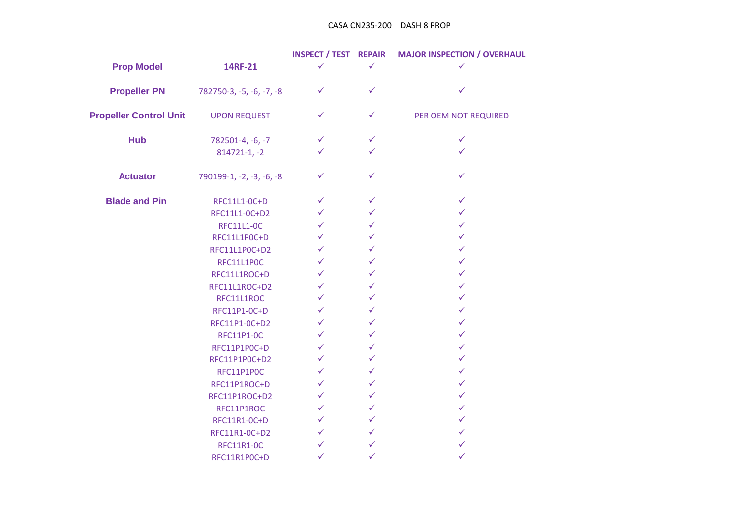## CASA CN235-200 DASH 8 PROP

|                               |                          | <b>INSPECT / TEST REPAIR</b> |              | <b>MAJOR INSPECTION / OVERHAUL</b> |
|-------------------------------|--------------------------|------------------------------|--------------|------------------------------------|
| <b>Prop Model</b>             | 14RF-21                  | ✓                            | ✓            | ✓                                  |
| <b>Propeller PN</b>           | 782750-3, -5, -6, -7, -8 | $\checkmark$                 | $\checkmark$ | ✓                                  |
| <b>Propeller Control Unit</b> | <b>UPON REQUEST</b>      | $\checkmark$                 | ✓            | PER OEM NOT REQUIRED               |
| <b>Hub</b>                    | 782501-4, -6, -7         | $\checkmark$                 | $\checkmark$ | $\checkmark$                       |
|                               | $814721 - 1, -2$         | ✓                            | ✓            | ✓                                  |
| <b>Actuator</b>               | 790199-1, -2, -3, -6, -8 | $\checkmark$                 | ✓            | $\checkmark$                       |
| <b>Blade and Pin</b>          | RFC11L1-0C+D             | $\checkmark$                 | $\checkmark$ | $\checkmark$                       |
|                               | RFC11L1-0C+D2            | $\checkmark$                 | ✓            | $\checkmark$                       |
|                               | <b>RFC11L1-0C</b>        | $\checkmark$                 | ✓            | $\checkmark$                       |
|                               | RFC11L1P0C+D             | $\checkmark$                 | $\checkmark$ | $\checkmark$                       |
|                               | RFC11L1P0C+D2            | $\checkmark$                 | $\checkmark$ | $\checkmark$                       |
|                               | RFC11L1P0C               | $\checkmark$                 | $\checkmark$ | $\checkmark$                       |
|                               | RFC11L1ROC+D             | $\checkmark$                 | ✓            | $\checkmark$                       |
|                               | RFC11L1ROC+D2            | $\checkmark$                 | $\checkmark$ | $\checkmark$                       |
|                               | RFC11L1ROC               | $\checkmark$                 | $\checkmark$ | $\checkmark$                       |
|                               | RFC11P1-0C+D             | $\checkmark$                 | ✓            | $\checkmark$                       |
|                               | RFC11P1-0C+D2            | $\checkmark$                 | ✓            | $\checkmark$                       |
|                               | <b>RFC11P1-0C</b>        | $\checkmark$                 | ✓            | $\checkmark$                       |
|                               | RFC11P1P0C+D             | $\checkmark$                 | ✓            | ✓                                  |
|                               | RFC11P1P0C+D2            | $\checkmark$                 | $\checkmark$ | $\checkmark$                       |
|                               | RFC11P1P0C               | $\checkmark$                 | $\checkmark$ | $\checkmark$                       |
|                               | RFC11P1ROC+D             | $\checkmark$                 | ✓            | $\checkmark$                       |
|                               | RFC11P1ROC+D2            | $\checkmark$                 | $\checkmark$ | $\checkmark$                       |
|                               | RFC11P1ROC               | $\checkmark$                 | $\checkmark$ | $\checkmark$                       |
|                               | RFC11R1-OC+D             | $\checkmark$                 | $\checkmark$ | $\checkmark$                       |
|                               | RFC11R1-0C+D2            | $\checkmark$                 | $\checkmark$ | ✓                                  |
|                               | <b>RFC11R1-0C</b>        | $\checkmark$                 | ✓            | ✓                                  |
|                               | RFC11R1POC+D             | $\checkmark$                 | $\checkmark$ | $\checkmark$                       |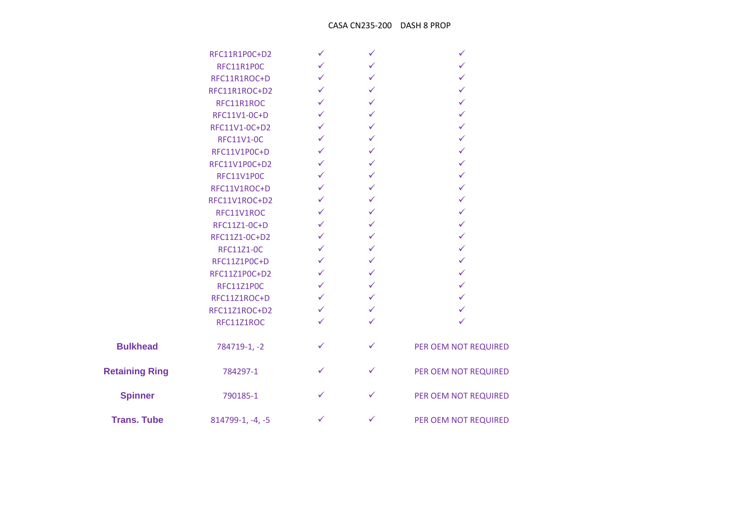## CASA CN235-200 DASH 8 PROP

|                       | RFC11R1P0C+D2     |              |              |                      |
|-----------------------|-------------------|--------------|--------------|----------------------|
|                       | RFC11R1P0C        | $\checkmark$ | ✓            |                      |
|                       | RFC11R1ROC+D      | ✓            | ✓            |                      |
|                       | RFC11R1ROC+D2     | $\checkmark$ | $\checkmark$ |                      |
|                       | RFC11R1ROC        | ✓            | ✓            |                      |
|                       | RFC11V1-0C+D      | ✓            | ✓            |                      |
|                       | RFC11V1-0C+D2     | $\checkmark$ | ✓            | ✓                    |
|                       | <b>RFC11V1-0C</b> | ✓            | ✓            | ✓                    |
|                       | RFC11V1P0C+D      | $\checkmark$ | $\checkmark$ | ✓                    |
|                       | RFC11V1P0C+D2     | $\checkmark$ | ✓            | ✓                    |
|                       | RFC11V1P0C        | $\checkmark$ | $\checkmark$ | ✓                    |
|                       | RFC11V1ROC+D      | $\checkmark$ | ✓            | ✓                    |
|                       | RFC11V1ROC+D2     | ✓            | ✓            |                      |
|                       | RFC11V1ROC        | ✓            | ✓            |                      |
|                       | RFC11Z1-0C+D      | ✓            | ✓            | ✓                    |
|                       | RFC11Z1-0C+D2     | $\checkmark$ | ✓            | ✓                    |
|                       | <b>RFC11Z1-0C</b> | ✓            | ✓            | ✓                    |
|                       | RFC11Z1P0C+D      | ✓            | $\checkmark$ |                      |
|                       | RFC11Z1P0C+D2     | $\checkmark$ | ✓            | ✓                    |
|                       | <b>RFC11Z1P0C</b> | $\checkmark$ | $\checkmark$ |                      |
|                       | RFC11Z1ROC+D      | $\checkmark$ | ✓            |                      |
|                       | RFC11Z1ROC+D2     | ✓            | ✓            |                      |
|                       | RFC11Z1ROC        | ✓            | ✓            |                      |
| <b>Bulkhead</b>       | 784719-1, -2      | ✓            | ✓            | PER OEM NOT REQUIRED |
| <b>Retaining Ring</b> | 784297-1          | ✓            | ✓            | PER OEM NOT REQUIRED |
| <b>Spinner</b>        | 790185-1          | ✓            | ✓            | PER OEM NOT REQUIRED |
| <b>Trans. Tube</b>    | 814799-1, -4, -5  | $\checkmark$ | ✓            | PER OEM NOT REQUIRED |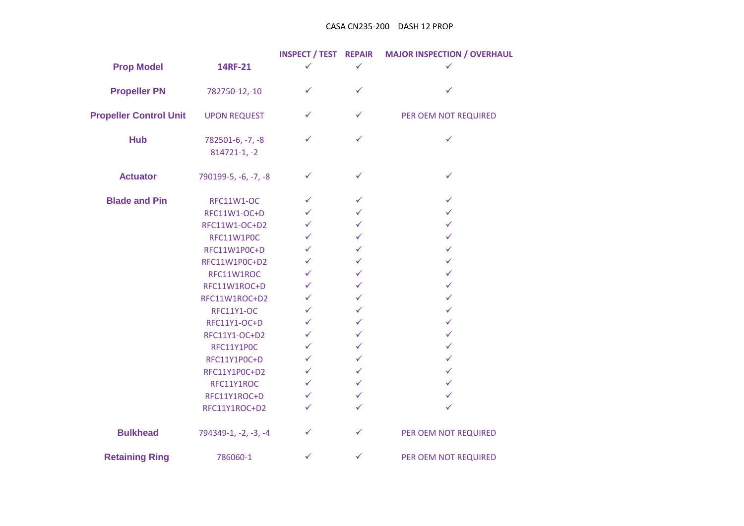## CASA CN235-200 DASH 12 PROP

|                               |                                      | <b>INSPECT / TEST REPAIR</b> |              | <b>MAJOR INSPECTION / OVERHAUL</b> |
|-------------------------------|--------------------------------------|------------------------------|--------------|------------------------------------|
| <b>Prop Model</b>             | 14RF-21                              | $\checkmark$                 | $\checkmark$ | ✓                                  |
| <b>Propeller PN</b>           | 782750-12,-10                        | ✓                            | ✓            | ✓                                  |
| <b>Propeller Control Unit</b> | <b>UPON REQUEST</b>                  | ✓                            | $\checkmark$ | PER OEM NOT REQUIRED               |
| <b>Hub</b>                    | 782501-6, -7, -8<br>$814721 - 1, -2$ | ✓                            | $\checkmark$ | $\checkmark$                       |
| <b>Actuator</b>               | 790199-5, -6, -7, -8                 | $\checkmark$                 | $\checkmark$ | $\checkmark$                       |
| <b>Blade and Pin</b>          | <b>RFC11W1-OC</b>                    | $\checkmark$                 | ✓            | $\checkmark$                       |
|                               | RFC11W1-OC+D                         | $\checkmark$                 | $\checkmark$ | $\checkmark$                       |
|                               | RFC11W1-OC+D2                        | $\checkmark$                 | ✓            | $\checkmark$                       |
|                               | RFC11W1P0C                           | $\checkmark$                 | $\checkmark$ | $\checkmark$                       |
|                               | RFC11W1P0C+D                         | $\checkmark$                 | $\checkmark$ | $\checkmark$                       |
|                               | RFC11W1P0C+D2                        | $\checkmark$                 | $\checkmark$ | $\checkmark$                       |
|                               | RFC11W1ROC                           | $\checkmark$                 | $\checkmark$ | $\checkmark$                       |
|                               | RFC11W1ROC+D                         | $\checkmark$                 | $\checkmark$ | $\checkmark$                       |
|                               | RFC11W1ROC+D2                        | $\checkmark$                 | $\checkmark$ | $\checkmark$                       |
|                               | <b>RFC11Y1-OC</b>                    | $\checkmark$                 | $\checkmark$ | $\checkmark$                       |
|                               | RFC11Y1-OC+D                         | $\checkmark$                 | $\checkmark$ | $\checkmark$                       |
|                               | RFC11Y1-OC+D2                        | $\checkmark$                 | $\checkmark$ | ✓                                  |
|                               | RFC11Y1P0C                           | $\checkmark$                 | ✓            | $\checkmark$                       |
|                               | RFC11Y1P0C+D                         | $\checkmark$                 | $\checkmark$ | $\checkmark$                       |
|                               | RFC11Y1P0C+D2                        | $\checkmark$                 | $\checkmark$ | $\checkmark$                       |
|                               | RFC11Y1ROC                           | $\checkmark$                 | $\checkmark$ | $\checkmark$                       |
|                               | RFC11Y1ROC+D                         | $\checkmark$                 | $\checkmark$ | $\checkmark$                       |
|                               | RFC11Y1ROC+D2                        | $\checkmark$                 | $\checkmark$ | ✓                                  |
| <b>Bulkhead</b>               | 794349-1, -2, -3, -4                 | ✓                            | ✓            | PER OEM NOT REQUIRED               |
| <b>Retaining Ring</b>         | 786060-1                             | $\checkmark$                 | $\checkmark$ | PER OEM NOT REQUIRED               |